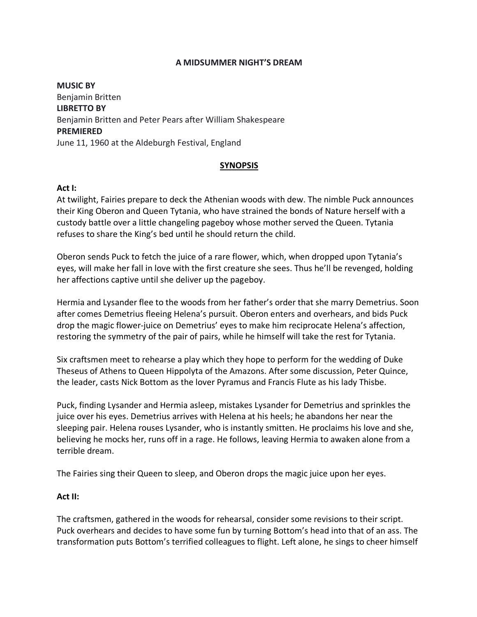### **A MIDSUMMER NIGHT'S DREAM**

**MUSIC BY** Benjamin Britten **LIBRETTO BY** Benjamin Britten and Peter Pears after William Shakespeare **PREMIERED** June 11, 1960 at the Aldeburgh Festival, England

# **SYNOPSIS**

# **Act I:**

At twilight, Fairies prepare to deck the Athenian woods with dew. The nimble Puck announces their King Oberon and Queen Tytania, who have strained the bonds of Nature herself with a custody battle over a little changeling pageboy whose mother served the Queen. Tytania refuses to share the King's bed until he should return the child.

Oberon sends Puck to fetch the juice of a rare flower, which, when dropped upon Tytania's eyes, will make her fall in love with the first creature she sees. Thus he'll be revenged, holding her affections captive until she deliver up the pageboy.

Hermia and Lysander flee to the woods from her father's order that she marry Demetrius. Soon after comes Demetrius fleeing Helena's pursuit. Oberon enters and overhears, and bids Puck drop the magic flower-juice on Demetrius' eyes to make him reciprocate Helena's affection, restoring the symmetry of the pair of pairs, while he himself will take the rest for Tytania.

Six craftsmen meet to rehearse a play which they hope to perform for the wedding of Duke Theseus of Athens to Queen Hippolyta of the Amazons. After some discussion, Peter Quince, the leader, casts Nick Bottom as the lover Pyramus and Francis Flute as his lady Thisbe.

Puck, finding Lysander and Hermia asleep, mistakes Lysander for Demetrius and sprinkles the juice over his eyes. Demetrius arrives with Helena at his heels; he abandons her near the sleeping pair. Helena rouses Lysander, who is instantly smitten. He proclaims his love and she, believing he mocks her, runs off in a rage. He follows, leaving Hermia to awaken alone from a terrible dream.

The Fairies sing their Queen to sleep, and Oberon drops the magic juice upon her eyes.

### **Act II:**

The craftsmen, gathered in the woods for rehearsal, consider some revisions to their script. Puck overhears and decides to have some fun by turning Bottom's head into that of an ass. The transformation puts Bottom's terrified colleagues to flight. Left alone, he sings to cheer himself